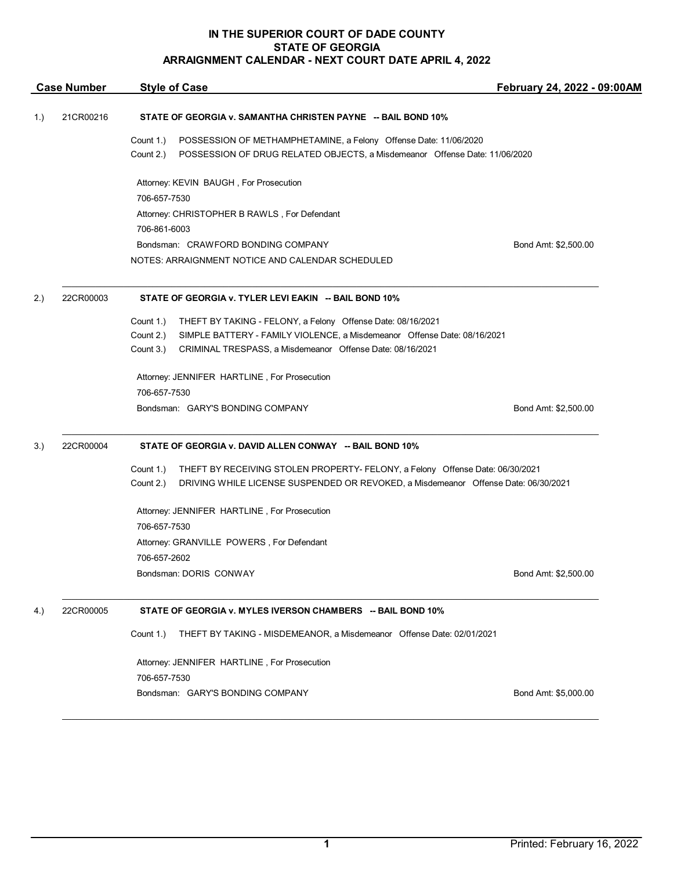| <b>Case Number</b> |                                                                           | <b>Style of Case</b>                                                                                                                                                                          | February 24, 2022 - 09:00AM |  |  |
|--------------------|---------------------------------------------------------------------------|-----------------------------------------------------------------------------------------------------------------------------------------------------------------------------------------------|-----------------------------|--|--|
| 1.)                | 21CR00216<br>STATE OF GEORGIA v. SAMANTHA CHRISTEN PAYNE -- BAIL BOND 10% |                                                                                                                                                                                               |                             |  |  |
|                    |                                                                           | POSSESSION OF METHAMPHETAMINE, a Felony Offense Date: 11/06/2020<br>Count 1.)<br>POSSESSION OF DRUG RELATED OBJECTS, a Misdemeanor Offense Date: 11/06/2020<br>Count 2.)                      |                             |  |  |
|                    |                                                                           | Attorney: KEVIN BAUGH, For Prosecution                                                                                                                                                        |                             |  |  |
|                    |                                                                           | 706-657-7530                                                                                                                                                                                  |                             |  |  |
|                    |                                                                           | Attorney: CHRISTOPHER B RAWLS, For Defendant                                                                                                                                                  |                             |  |  |
|                    |                                                                           | 706-861-6003                                                                                                                                                                                  |                             |  |  |
|                    |                                                                           | Bondsman: CRAWFORD BONDING COMPANY                                                                                                                                                            | Bond Amt: \$2,500.00        |  |  |
|                    |                                                                           | NOTES: ARRAIGNMENT NOTICE AND CALENDAR SCHEDULED                                                                                                                                              |                             |  |  |
| 2.)                | 22CR00003                                                                 | STATE OF GEORGIA v. TYLER LEVI EAKIN -- BAIL BOND 10%                                                                                                                                         |                             |  |  |
|                    |                                                                           | Count 1.)<br>THEFT BY TAKING - FELONY, a Felony Offense Date: 08/16/2021                                                                                                                      |                             |  |  |
|                    |                                                                           | Count 2.)<br>SIMPLE BATTERY - FAMILY VIOLENCE, a Misdemeanor Offense Date: 08/16/2021                                                                                                         |                             |  |  |
|                    |                                                                           | Count 3.)<br>CRIMINAL TRESPASS, a Misdemeanor Offense Date: 08/16/2021                                                                                                                        |                             |  |  |
|                    |                                                                           | Attorney: JENNIFER HARTLINE, For Prosecution                                                                                                                                                  |                             |  |  |
|                    |                                                                           | 706-657-7530                                                                                                                                                                                  |                             |  |  |
|                    |                                                                           | Bondsman: GARY'S BONDING COMPANY                                                                                                                                                              | Bond Amt: \$2,500.00        |  |  |
| 3.)                | 22CR00004                                                                 | STATE OF GEORGIA v. DAVID ALLEN CONWAY -- BAIL BOND 10%                                                                                                                                       |                             |  |  |
|                    |                                                                           | Count 1.)<br>THEFT BY RECEIVING STOLEN PROPERTY- FELONY, a Felony Offense Date: 06/30/2021<br>Count 2.)<br>DRIVING WHILE LICENSE SUSPENDED OR REVOKED, a Misdemeanor Offense Date: 06/30/2021 |                             |  |  |
|                    |                                                                           | Attorney: JENNIFER HARTLINE, For Prosecution                                                                                                                                                  |                             |  |  |
|                    |                                                                           | 706-657-7530                                                                                                                                                                                  |                             |  |  |
|                    |                                                                           | Attorney: GRANVILLE POWERS, For Defendant                                                                                                                                                     |                             |  |  |
|                    |                                                                           | 706-657-2602                                                                                                                                                                                  |                             |  |  |
|                    |                                                                           | Bondsman: DORIS CONWAY                                                                                                                                                                        | Bond Amt: \$2,500.00        |  |  |
| 4.)                | 22CR00005                                                                 | STATE OF GEORGIA v. MYLES IVERSON CHAMBERS -- BAIL BOND 10%                                                                                                                                   |                             |  |  |
|                    |                                                                           | Count 1.)<br>THEFT BY TAKING - MISDEMEANOR, a Misdemeanor Offense Date: 02/01/2021                                                                                                            |                             |  |  |
|                    |                                                                           | Attorney: JENNIFER HARTLINE, For Prosecution                                                                                                                                                  |                             |  |  |
|                    |                                                                           | 706-657-7530                                                                                                                                                                                  |                             |  |  |
|                    |                                                                           | Bondsman: GARY'S BONDING COMPANY                                                                                                                                                              | Bond Amt: \$5,000.00        |  |  |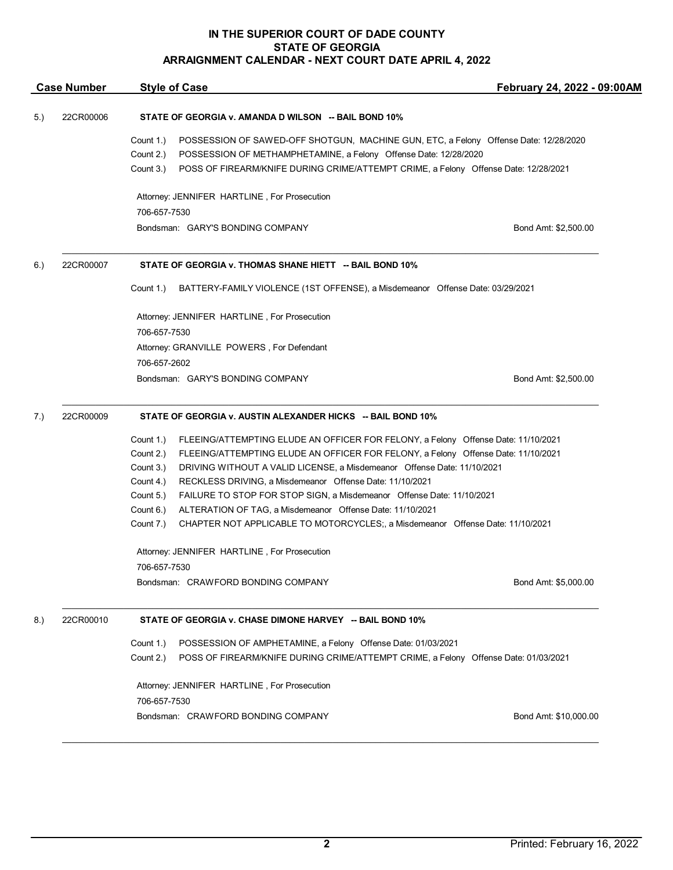| POSSESSION OF SAWED-OFF SHOTGUN, MACHINE GUN, ETC, a Felony Offense Date: 12/28/2020<br>POSS OF FIREARM/KNIFE DURING CRIME/ATTEMPT CRIME, a Felony Offense Date: 12/28/2021<br>Bond Amt: \$2,500.00<br>BATTERY-FAMILY VIOLENCE (1ST OFFENSE), a Misdemeanor Offense Date: 03/29/2021 |
|--------------------------------------------------------------------------------------------------------------------------------------------------------------------------------------------------------------------------------------------------------------------------------------|
|                                                                                                                                                                                                                                                                                      |
|                                                                                                                                                                                                                                                                                      |
|                                                                                                                                                                                                                                                                                      |
|                                                                                                                                                                                                                                                                                      |
|                                                                                                                                                                                                                                                                                      |
|                                                                                                                                                                                                                                                                                      |
|                                                                                                                                                                                                                                                                                      |
|                                                                                                                                                                                                                                                                                      |
|                                                                                                                                                                                                                                                                                      |
|                                                                                                                                                                                                                                                                                      |
|                                                                                                                                                                                                                                                                                      |
| Bond Amt: \$2,500.00                                                                                                                                                                                                                                                                 |
|                                                                                                                                                                                                                                                                                      |
| FLEEING/ATTEMPTING ELUDE AN OFFICER FOR FELONY, a Felony Offense Date: 11/10/2021                                                                                                                                                                                                    |
| FLEEING/ATTEMPTING ELUDE AN OFFICER FOR FELONY, a Felony Offense Date: 11/10/2021                                                                                                                                                                                                    |
| DRIVING WITHOUT A VALID LICENSE, a Misdemeanor Offense Date: 11/10/2021                                                                                                                                                                                                              |
|                                                                                                                                                                                                                                                                                      |
|                                                                                                                                                                                                                                                                                      |
| CHAPTER NOT APPLICABLE TO MOTORCYCLES;, a Misdemeanor Offense Date: 11/10/2021                                                                                                                                                                                                       |
|                                                                                                                                                                                                                                                                                      |
|                                                                                                                                                                                                                                                                                      |
| Bond Amt: \$5,000.00                                                                                                                                                                                                                                                                 |
|                                                                                                                                                                                                                                                                                      |
| POSS OF FIREARM/KNIFE DURING CRIME/ATTEMPT CRIME, a Felony Offense Date: 01/03/2021                                                                                                                                                                                                  |
|                                                                                                                                                                                                                                                                                      |
| Bond Amt: \$10,000.00                                                                                                                                                                                                                                                                |
|                                                                                                                                                                                                                                                                                      |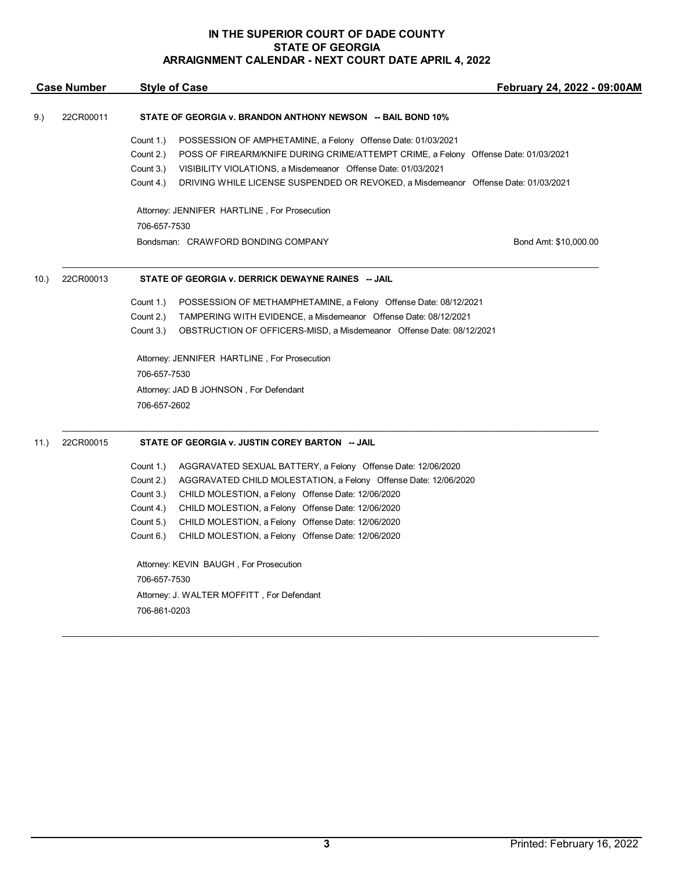|      | <b>Case Number</b> | <b>Style of Case</b>                            |                                                                                                                                                                                                                      | February 24, 2022 - 09:00AM |  |
|------|--------------------|-------------------------------------------------|----------------------------------------------------------------------------------------------------------------------------------------------------------------------------------------------------------------------|-----------------------------|--|
| 9.)  | 22CR00011          |                                                 | STATE OF GEORGIA v. BRANDON ANTHONY NEWSON -- BAIL BOND 10%                                                                                                                                                          |                             |  |
|      |                    | Count 1.)<br>Count 2.)<br>Count 3.)             | POSSESSION OF AMPHETAMINE, a Felony Offense Date: 01/03/2021<br>POSS OF FIREARM/KNIFE DURING CRIME/ATTEMPT CRIME, a Felony Offense Date: 01/03/2021<br>VISIBILITY VIOLATIONS, a Misdemeanor Offense Date: 01/03/2021 |                             |  |
|      |                    | Count 4.)                                       | DRIVING WHILE LICENSE SUSPENDED OR REVOKED, a Misdemeanor Offense Date: 01/03/2021                                                                                                                                   |                             |  |
|      |                    | 706-657-7530                                    | Attorney: JENNIFER HARTLINE, For Prosecution                                                                                                                                                                         |                             |  |
|      |                    |                                                 | Bondsman: CRAWFORD BONDING COMPANY                                                                                                                                                                                   | Bond Amt: \$10,000.00       |  |
| 10.  | 22CR00013          |                                                 | STATE OF GEORGIA v. DERRICK DEWAYNE RAINES -- JAIL                                                                                                                                                                   |                             |  |
|      |                    | Count 1.)                                       | POSSESSION OF METHAMPHETAMINE, a Felony Offense Date: 08/12/2021                                                                                                                                                     |                             |  |
|      |                    | Count 2.)                                       | TAMPERING WITH EVIDENCE, a Misdemeanor Offense Date: 08/12/2021                                                                                                                                                      |                             |  |
|      |                    | Count 3.)                                       | OBSTRUCTION OF OFFICERS-MISD, a Misdemeanor Offense Date: 08/12/2021                                                                                                                                                 |                             |  |
|      |                    |                                                 | Attorney: JENNIFER HARTLINE, For Prosecution                                                                                                                                                                         |                             |  |
|      |                    | 706-657-7530                                    |                                                                                                                                                                                                                      |                             |  |
|      |                    |                                                 | Attorney: JAD B JOHNSON, For Defendant                                                                                                                                                                               |                             |  |
|      |                    | 706-657-2602                                    |                                                                                                                                                                                                                      |                             |  |
| 11.) | 22CR00015          | STATE OF GEORGIA v. JUSTIN COREY BARTON -- JAIL |                                                                                                                                                                                                                      |                             |  |
|      |                    | Count 1.)                                       | AGGRAVATED SEXUAL BATTERY, a Felony Offense Date: 12/06/2020                                                                                                                                                         |                             |  |
|      |                    | Count 2.)                                       | AGGRAVATED CHILD MOLESTATION, a Felony Offense Date: 12/06/2020                                                                                                                                                      |                             |  |
|      |                    | Count 3.)                                       | CHILD MOLESTION, a Felony Offense Date: 12/06/2020                                                                                                                                                                   |                             |  |
|      |                    | Count 4.)                                       | CHILD MOLESTION, a Felony Offense Date: 12/06/2020                                                                                                                                                                   |                             |  |
|      |                    | Count 5.)                                       | CHILD MOLESTION, a Felony Offense Date: 12/06/2020                                                                                                                                                                   |                             |  |
|      |                    | Count 6.)                                       | CHILD MOLESTION, a Felony Offense Date: 12/06/2020                                                                                                                                                                   |                             |  |
|      |                    |                                                 | Attorney: KEVIN BAUGH, For Prosecution                                                                                                                                                                               |                             |  |
|      |                    | 706-657-7530                                    |                                                                                                                                                                                                                      |                             |  |
|      |                    |                                                 | Attorney: J. WALTER MOFFITT, For Defendant                                                                                                                                                                           |                             |  |
|      |                    | 706-861-0203                                    |                                                                                                                                                                                                                      |                             |  |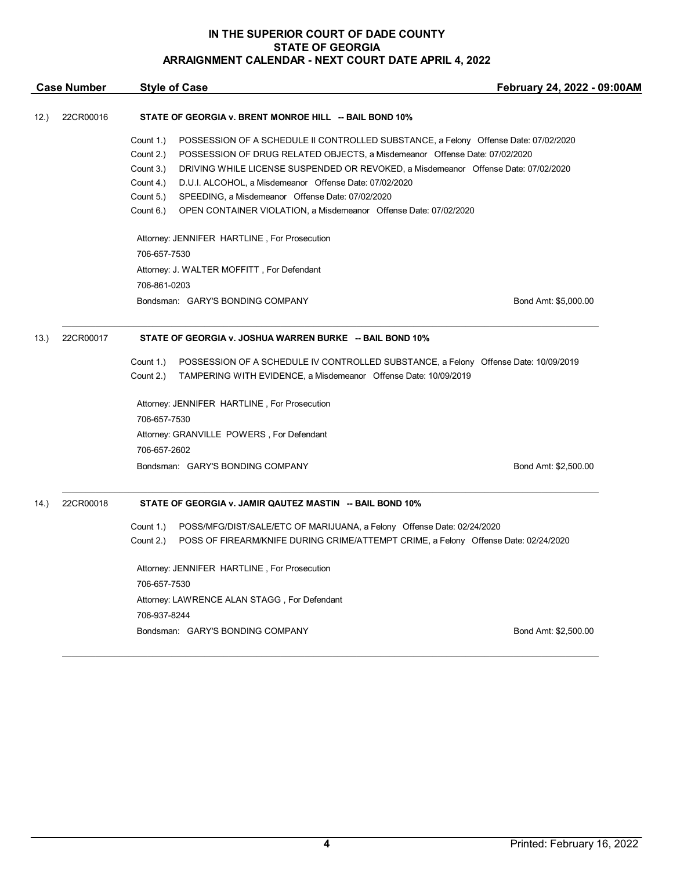|       | <b>Case Number</b> | <b>Style of Case</b>                                                                             | February 24, 2022 - 09:00AM |  |
|-------|--------------------|--------------------------------------------------------------------------------------------------|-----------------------------|--|
| 12.   | 22CR00016          | STATE OF GEORGIA v. BRENT MONROE HILL -- BAIL BOND 10%                                           |                             |  |
|       |                    | Count 1.)<br>POSSESSION OF A SCHEDULE II CONTROLLED SUBSTANCE, a Felony Offense Date: 07/02/2020 |                             |  |
|       |                    | POSSESSION OF DRUG RELATED OBJECTS, a Misdemeanor Offense Date: 07/02/2020<br>Count 2.)          |                             |  |
|       |                    | Count 3.)<br>DRIVING WHILE LICENSE SUSPENDED OR REVOKED, a Misdemeanor Offense Date: 07/02/2020  |                             |  |
|       |                    | D.U.I. ALCOHOL, a Misdemeanor Offense Date: 07/02/2020<br>Count 4.)                              |                             |  |
|       |                    | Count 5.)<br>SPEEDING, a Misdemeanor Offense Date: 07/02/2020                                    |                             |  |
|       |                    | Count 6.)<br>OPEN CONTAINER VIOLATION, a Misdemeanor Offense Date: 07/02/2020                    |                             |  |
|       |                    | Attorney: JENNIFER HARTLINE, For Prosecution                                                     |                             |  |
|       |                    | 706-657-7530                                                                                     |                             |  |
|       |                    | Attorney: J. WALTER MOFFITT, For Defendant                                                       |                             |  |
|       |                    | 706-861-0203                                                                                     |                             |  |
|       |                    | Bondsman: GARY'S BONDING COMPANY                                                                 | Bond Amt: \$5,000.00        |  |
| (13.) | 22CR00017          | STATE OF GEORGIA v. JOSHUA WARREN BURKE -- BAIL BOND 10%                                         |                             |  |
|       |                    | Count 1.)<br>POSSESSION OF A SCHEDULE IV CONTROLLED SUBSTANCE, a Felony Offense Date: 10/09/2019 |                             |  |
|       |                    | TAMPERING WITH EVIDENCE, a Misdemeanor Offense Date: 10/09/2019<br>Count 2.)                     |                             |  |
|       |                    | Attorney: JENNIFER HARTLINE, For Prosecution                                                     |                             |  |
|       |                    | 706-657-7530                                                                                     |                             |  |
|       |                    | Attorney: GRANVILLE POWERS, For Defendant                                                        |                             |  |
|       |                    | 706-657-2602                                                                                     |                             |  |
|       |                    | Bondsman: GARY'S BONDING COMPANY                                                                 | Bond Amt: \$2,500.00        |  |
| (14.) | 22CR00018          | STATE OF GEORGIA v. JAMIR QAUTEZ MASTIN -- BAIL BOND 10%                                         |                             |  |
|       |                    | Count 1.)<br>POSS/MFG/DIST/SALE/ETC OF MARIJUANA, a Felony Offense Date: 02/24/2020              |                             |  |
|       |                    | Count 2.)<br>POSS OF FIREARM/KNIFE DURING CRIME/ATTEMPT CRIME, a Felony Offense Date: 02/24/2020 |                             |  |
|       |                    | Attorney: JENNIFER HARTLINE, For Prosecution                                                     |                             |  |
|       |                    | 706-657-7530                                                                                     |                             |  |
|       |                    | Attorney: LAWRENCE ALAN STAGG, For Defendant                                                     |                             |  |
|       |                    | 706-937-8244                                                                                     |                             |  |
|       |                    | Bondsman: GARY'S BONDING COMPANY                                                                 | Bond Amt: \$2,500.00        |  |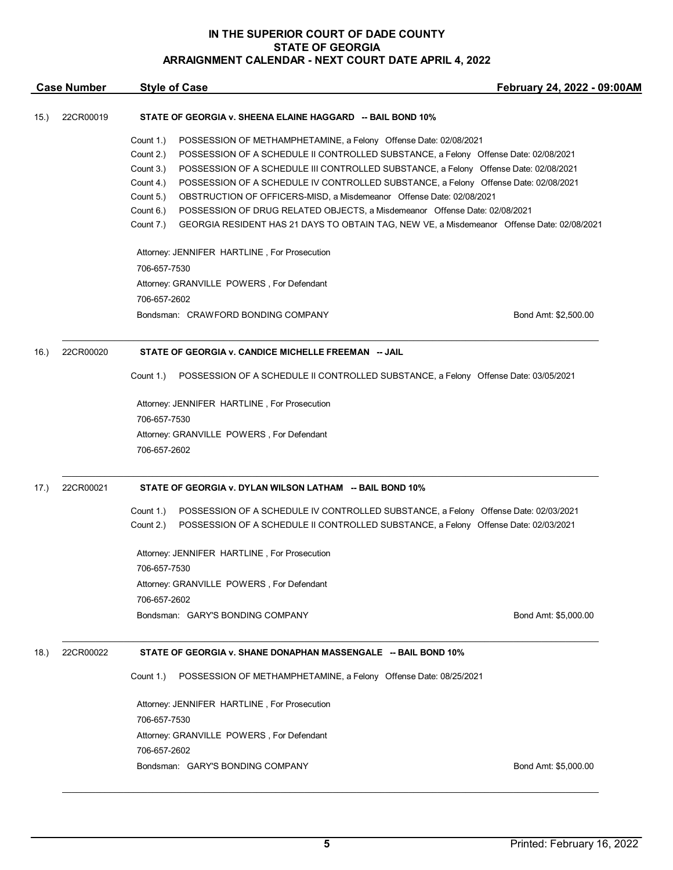| <b>Case Number</b> |           | <b>Style of Case</b>                                                                                                                                                                                                                                                                                                                                                                                                                                                                                                                                                                                                                                                                  | February 24, 2022 - 09:00AM |
|--------------------|-----------|---------------------------------------------------------------------------------------------------------------------------------------------------------------------------------------------------------------------------------------------------------------------------------------------------------------------------------------------------------------------------------------------------------------------------------------------------------------------------------------------------------------------------------------------------------------------------------------------------------------------------------------------------------------------------------------|-----------------------------|
| 15.)               | 22CR00019 | STATE OF GEORGIA v. SHEENA ELAINE HAGGARD -- BAIL BOND 10%                                                                                                                                                                                                                                                                                                                                                                                                                                                                                                                                                                                                                            |                             |
|                    |           | Count 1.)<br>POSSESSION OF METHAMPHETAMINE, a Felony Offense Date: 02/08/2021<br>Count 2.)<br>POSSESSION OF A SCHEDULE II CONTROLLED SUBSTANCE, a Felony Offense Date: 02/08/2021<br>POSSESSION OF A SCHEDULE III CONTROLLED SUBSTANCE, a Felony Offense Date: 02/08/2021<br>Count 3.)<br>POSSESSION OF A SCHEDULE IV CONTROLLED SUBSTANCE, a Felony Offense Date: 02/08/2021<br>Count 4.)<br>OBSTRUCTION OF OFFICERS-MISD, a Misdemeanor Offense Date: 02/08/2021<br>Count 5.)<br>Count 6.)<br>POSSESSION OF DRUG RELATED OBJECTS, a Misdemeanor Offense Date: 02/08/2021<br>Count 7.)<br>GEORGIA RESIDENT HAS 21 DAYS TO OBTAIN TAG, NEW VE, a Misdemeanor Offense Date: 02/08/2021 |                             |
|                    |           | Attorney: JENNIFER HARTLINE, For Prosecution                                                                                                                                                                                                                                                                                                                                                                                                                                                                                                                                                                                                                                          |                             |
|                    |           | 706-657-7530                                                                                                                                                                                                                                                                                                                                                                                                                                                                                                                                                                                                                                                                          |                             |
|                    |           | Attorney: GRANVILLE POWERS, For Defendant                                                                                                                                                                                                                                                                                                                                                                                                                                                                                                                                                                                                                                             |                             |
|                    |           | 706-657-2602<br>Bondsman: CRAWFORD BONDING COMPANY                                                                                                                                                                                                                                                                                                                                                                                                                                                                                                                                                                                                                                    | Bond Amt: \$2,500.00        |
| 16.)               | 22CR00020 | STATE OF GEORGIA v. CANDICE MICHELLE FREEMAN -- JAIL                                                                                                                                                                                                                                                                                                                                                                                                                                                                                                                                                                                                                                  |                             |
|                    |           | Count 1.)<br>POSSESSION OF A SCHEDULE II CONTROLLED SUBSTANCE, a Felony Offense Date: 03/05/2021                                                                                                                                                                                                                                                                                                                                                                                                                                                                                                                                                                                      |                             |
|                    |           | Attorney: JENNIFER HARTLINE, For Prosecution<br>706-657-7530                                                                                                                                                                                                                                                                                                                                                                                                                                                                                                                                                                                                                          |                             |
|                    |           | Attorney: GRANVILLE POWERS, For Defendant                                                                                                                                                                                                                                                                                                                                                                                                                                                                                                                                                                                                                                             |                             |
|                    |           | 706-657-2602                                                                                                                                                                                                                                                                                                                                                                                                                                                                                                                                                                                                                                                                          |                             |
| 17.)               | 22CR00021 | STATE OF GEORGIA v. DYLAN WILSON LATHAM -- BAIL BOND 10%                                                                                                                                                                                                                                                                                                                                                                                                                                                                                                                                                                                                                              |                             |
|                    |           | Count 1.)<br>POSSESSION OF A SCHEDULE IV CONTROLLED SUBSTANCE, a Felony Offense Date: 02/03/2021<br>POSSESSION OF A SCHEDULE II CONTROLLED SUBSTANCE, a Felony Offense Date: 02/03/2021<br>Count 2.)                                                                                                                                                                                                                                                                                                                                                                                                                                                                                  |                             |
|                    |           | Attorney: JENNIFER HARTLINE, For Prosecution<br>706-657-7530                                                                                                                                                                                                                                                                                                                                                                                                                                                                                                                                                                                                                          |                             |
|                    |           | Attorney: GRANVILLE POWERS, For Defendant                                                                                                                                                                                                                                                                                                                                                                                                                                                                                                                                                                                                                                             |                             |
|                    |           | 706-657-2602<br>Bondsman: GARY'S BONDING COMPANY                                                                                                                                                                                                                                                                                                                                                                                                                                                                                                                                                                                                                                      | Bond Amt: \$5,000.00        |
| 18.)               | 22CR00022 | STATE OF GEORGIA v. SHANE DONAPHAN MASSENGALE -- BAIL BOND 10%                                                                                                                                                                                                                                                                                                                                                                                                                                                                                                                                                                                                                        |                             |
|                    |           | Count 1.)<br>POSSESSION OF METHAMPHETAMINE, a Felony Offense Date: 08/25/2021                                                                                                                                                                                                                                                                                                                                                                                                                                                                                                                                                                                                         |                             |
|                    |           | Attorney: JENNIFER HARTLINE, For Prosecution<br>706-657-7530                                                                                                                                                                                                                                                                                                                                                                                                                                                                                                                                                                                                                          |                             |
|                    |           | Attorney: GRANVILLE POWERS, For Defendant<br>706-657-2602                                                                                                                                                                                                                                                                                                                                                                                                                                                                                                                                                                                                                             |                             |
|                    |           | Bondsman: GARY'S BONDING COMPANY                                                                                                                                                                                                                                                                                                                                                                                                                                                                                                                                                                                                                                                      | Bond Amt: \$5,000.00        |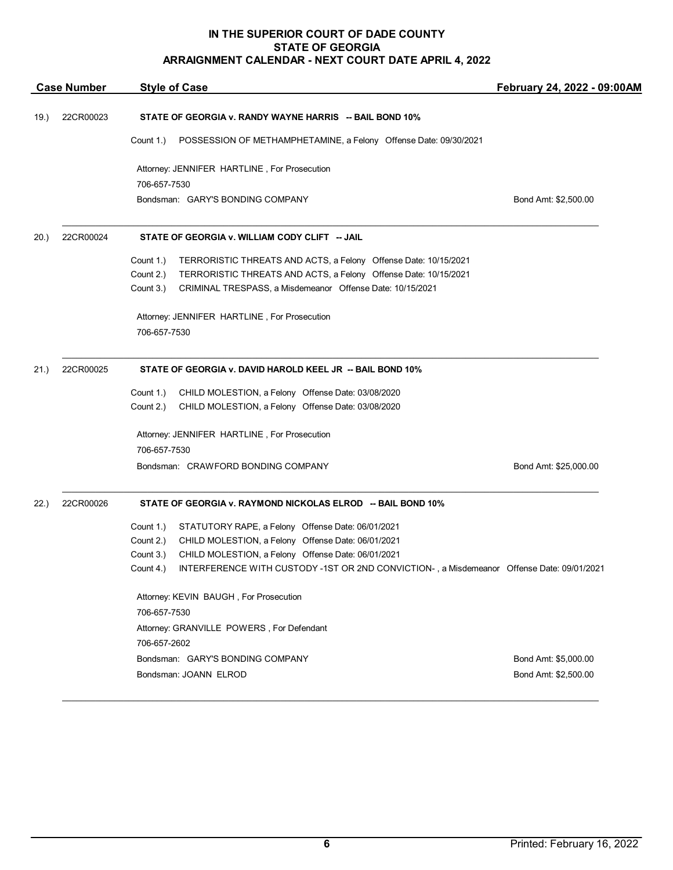|      | <b>Case Number</b> | <b>Style of Case</b>                                                                                | February 24, 2022 - 09:00AM |
|------|--------------------|-----------------------------------------------------------------------------------------------------|-----------------------------|
| 19.) | 22CR00023          | STATE OF GEORGIA v. RANDY WAYNE HARRIS -- BAIL BOND 10%                                             |                             |
|      |                    | Count 1.)<br>POSSESSION OF METHAMPHETAMINE, a Felony Offense Date: 09/30/2021                       |                             |
|      |                    | Attorney: JENNIFER HARTLINE, For Prosecution                                                        |                             |
|      |                    | 706-657-7530                                                                                        |                             |
|      |                    | Bondsman: GARY'S BONDING COMPANY                                                                    | Bond Amt: \$2,500.00        |
| 20.  | 22CR00024          | STATE OF GEORGIA v. WILLIAM CODY CLIFT -- JAIL                                                      |                             |
|      |                    | Count 1.)<br>TERRORISTIC THREATS AND ACTS, a Felony Offense Date: 10/15/2021                        |                             |
|      |                    | Count 2.)<br>TERRORISTIC THREATS AND ACTS, a Felony Offense Date: 10/15/2021                        |                             |
|      |                    | Count 3.)<br>CRIMINAL TRESPASS, a Misdemeanor Offense Date: 10/15/2021                              |                             |
|      |                    | Attorney: JENNIFER HARTLINE, For Prosecution                                                        |                             |
|      |                    | 706-657-7530                                                                                        |                             |
| 21.) | 22CR00025          | STATE OF GEORGIA v. DAVID HAROLD KEEL JR -- BAIL BOND 10%                                           |                             |
|      |                    | CHILD MOLESTION, a Felony Offense Date: 03/08/2020<br>Count 1.)                                     |                             |
|      |                    | Count 2.)<br>CHILD MOLESTION, a Felony Offense Date: 03/08/2020                                     |                             |
|      |                    | Attorney: JENNIFER HARTLINE, For Prosecution                                                        |                             |
|      |                    | 706-657-7530                                                                                        |                             |
|      |                    | Bondsman: CRAWFORD BONDING COMPANY                                                                  | Bond Amt: \$25,000.00       |
| 22.  | 22CR00026          | STATE OF GEORGIA v. RAYMOND NICKOLAS ELROD -- BAIL BOND 10%                                         |                             |
|      |                    | Count 1.)<br>STATUTORY RAPE, a Felony Offense Date: 06/01/2021                                      |                             |
|      |                    | CHILD MOLESTION, a Felony Offense Date: 06/01/2021<br>Count 2.)                                     |                             |
|      |                    | CHILD MOLESTION, a Felony Offense Date: 06/01/2021<br>Count 3.)                                     |                             |
|      |                    | Count 4.) INTERFERENCE WITH CUSTODY -1ST OR 2ND CONVICTION-, a Misdemeanor Offense Date: 09/01/2021 |                             |
|      |                    | Attorney: KEVIN BAUGH, For Prosecution                                                              |                             |
|      |                    | 706-657-7530                                                                                        |                             |
|      |                    | Attorney: GRANVILLE POWERS, For Defendant                                                           |                             |
|      |                    | 706-657-2602                                                                                        |                             |
|      |                    | Bondsman: GARY'S BONDING COMPANY                                                                    | Bond Amt: \$5,000.00        |
|      |                    | Bondsman: JOANN ELROD                                                                               | Bond Amt: \$2,500.00        |

 $\mathcal{L}_\mathcal{L} = \mathcal{L}_\mathcal{L} = \mathcal{L}_\mathcal{L} = \mathcal{L}_\mathcal{L} = \mathcal{L}_\mathcal{L} = \mathcal{L}_\mathcal{L} = \mathcal{L}_\mathcal{L} = \mathcal{L}_\mathcal{L} = \mathcal{L}_\mathcal{L} = \mathcal{L}_\mathcal{L} = \mathcal{L}_\mathcal{L} = \mathcal{L}_\mathcal{L} = \mathcal{L}_\mathcal{L} = \mathcal{L}_\mathcal{L} = \mathcal{L}_\mathcal{L} = \mathcal{L}_\mathcal{L} = \mathcal{L}_\mathcal{L}$